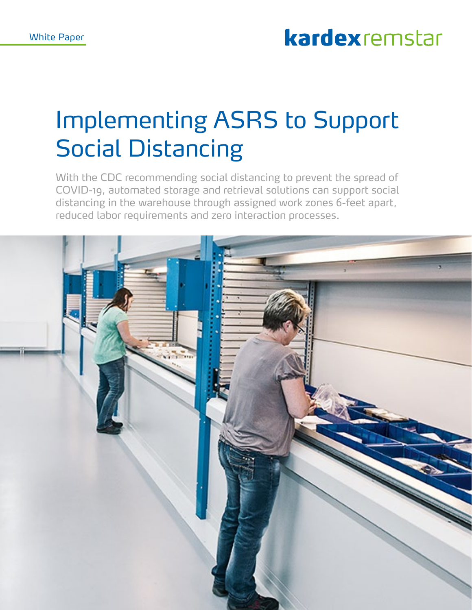# kardexremstar

# Implementing ASRS to Support Social Distancing

With the CDC recommending social distancing to prevent the spread of COVID-19, automated storage and retrieval solutions can support social distancing in the warehouse through assigned work zones 6-feet apart, reduced labor requirements and zero interaction processes.

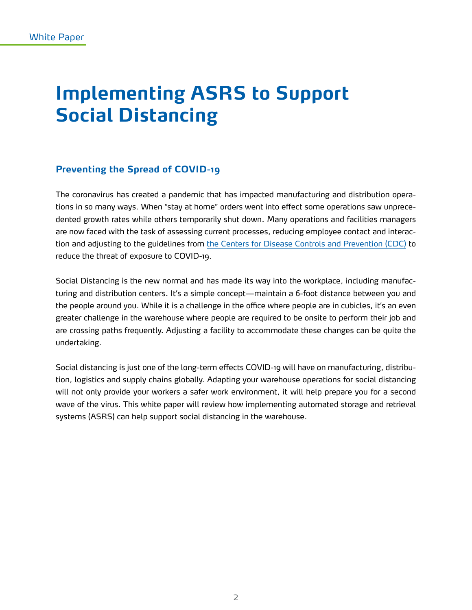# **Implementing ASRS to Support Social Distancing**

## **Preventing the Spread of COVID-19**

The coronavirus has created a pandemic that has impacted manufacturing and distribution operations in so many ways. When "stay at home" orders went into effect some operations saw unprecedented growth rates while others temporarily shut down. Many operations and facilities managers are now faced with the task of assessing current processes, reducing employee contact and interaction and adjusting to the guidelines from [the Centers for Disease Controls and Prevention \(CDC\)](https://www.cdc.gov/coronavirus/2019-ncov/community/index.html) to reduce the threat of exposure to COVID-19.

Social Distancing is the new normal and has made its way into the workplace, including manufacturing and distribution centers. It's a simple concept—maintain a 6-foot distance between you and the people around you. While it is a challenge in the office where people are in cubicles, it's an even greater challenge in the warehouse where people are required to be onsite to perform their job and are crossing paths frequently. Adjusting a facility to accommodate these changes can be quite the undertaking.

Social distancing is just one of the long-term effects COVID-19 will have on manufacturing, distribution, logistics and supply chains globally. Adapting your warehouse operations for social distancing will not only provide your workers a safer work environment, it will help prepare you for a second wave of the virus. This white paper will review how implementing automated storage and retrieval systems (ASRS) can help support social distancing in the warehouse.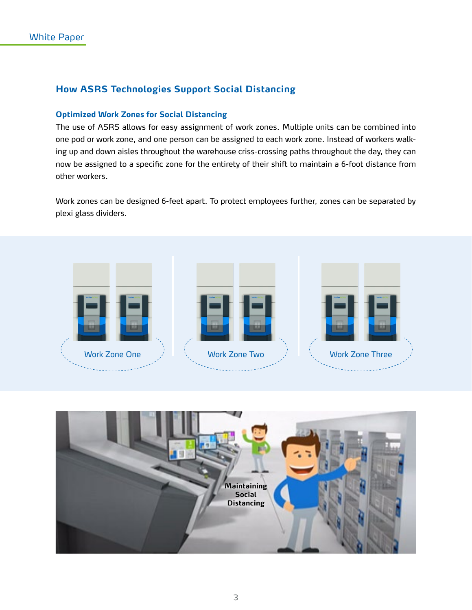# **How ASRS Technologies Support Social Distancing**

#### **Optimized Work Zones for Social Distancing**

The use of ASRS allows for easy assignment of work zones. Multiple units can be combined into one pod or work zone, and one person can be assigned to each work zone. Instead of workers walking up and down aisles throughout the warehouse criss-crossing paths throughout the day, they can now be assigned to a specific zone for the entirety of their shift to maintain a 6-foot distance from other workers.

Work zones can be designed 6-feet apart. To protect employees further, zones can be separated by plexi glass dividers.



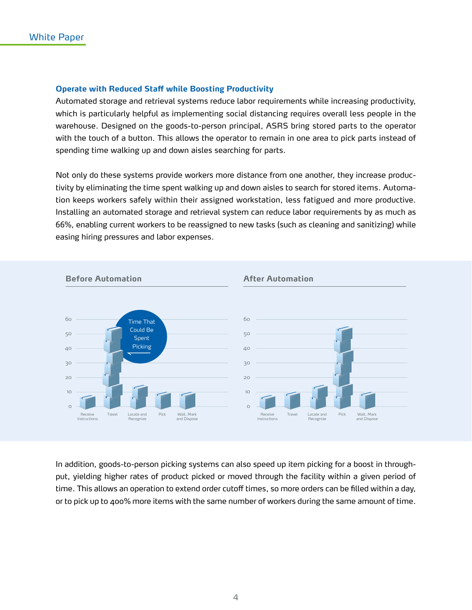#### **Operate with Reduced Staff while Boosting Productivity**

Automated storage and retrieval systems reduce labor requirements while increasing productivity, which is particularly helpful as implementing social distancing requires overall less people in the warehouse. Designed on the goods-to-person principal, ASRS bring stored parts to the operator with the touch of a button. This allows the operator to remain in one area to pick parts instead of spending time walking up and down aisles searching for parts.

Not only do these systems provide workers more distance from one another, they increase productivity by eliminating the time spent walking up and down aisles to search for stored items. Automation keeps workers safely within their assigned workstation, less fatigued and more productive. Installing an automated storage and retrieval system can reduce labor requirements by as much as 66%, enabling current workers to be reassigned to new tasks (such as cleaning and sanitizing) while easing hiring pressures and labor expenses.



In addition, goods-to-person picking systems can also speed up item picking for a boost in throughput, yielding higher rates of product picked or moved through the facility within a given period of time. This allows an operation to extend order cutoff times, so more orders can be filled within a day, or to pick up to 400% more items with the same number of workers during the same amount of time.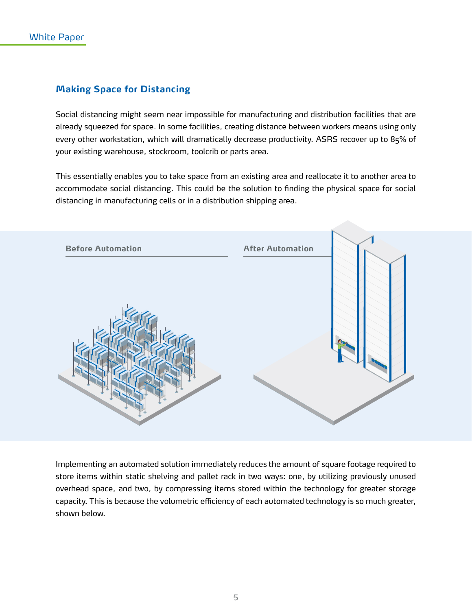## **Making Space for Distancing**

Social distancing might seem near impossible for manufacturing and distribution facilities that are already squeezed for space. In some facilities, creating distance between workers means using only every other workstation, which will dramatically decrease productivity. ASRS recover up to 85% of your existing warehouse, stockroom, toolcrib or parts area.

This essentially enables you to take space from an existing area and reallocate it to another area to accommodate social distancing. This could be the solution to finding the physical space for social distancing in manufacturing cells or in a distribution shipping area.



Implementing an automated solution immediately reduces the amount of square footage required to store items within static shelving and pallet rack in two ways: one, by utilizing previously unused overhead space, and two, by compressing items stored within the technology for greater storage capacity. This is because the volumetric efficiency of each automated technology is so much greater, shown below.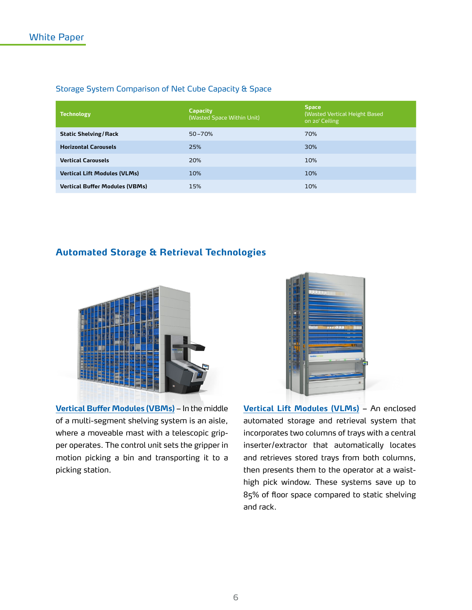| Storage System Comparison of Net Cube Capacity & Space |  |
|--------------------------------------------------------|--|
|--------------------------------------------------------|--|

| <b>Technology</b>                     | <b>Capacity</b><br>(Wasted Space Within Unit) | <b>Space</b><br>(Wasted Vertical Height Based<br>on 20' Ceiling |
|---------------------------------------|-----------------------------------------------|-----------------------------------------------------------------|
| <b>Static Shelving/Rack</b>           | $50 - 70%$                                    | 70%                                                             |
| <b>Horizontal Carousels</b>           | 25%                                           | 30%                                                             |
| <b>Vertical Carousels</b>             | 20%                                           | 10%                                                             |
| <b>Vertical Lift Modules (VLMs)</b>   | 10%                                           | 10%                                                             |
| <b>Vertical Buffer Modules (VBMs)</b> | 15%                                           | 10%                                                             |

### **Automated Storage & Retrieval Technologies**



**[Vertical Buffer Modules \(VBMs\)](https://www.kardexremstar.com/us/materials-handling-storage-solutions/vertical-buffer-module.html)** – In the middle of a multi-segment shelving system is an aisle, where a moveable mast with a telescopic gripper operates. The control unit sets the gripper in motion picking a bin and transporting it to a picking station.



**[Vertical Lift Modules \(VLMs\)](https://www.kardexremstar.com/us/materials-handling-storage-solutions/vertical-lift-modules.html)** – An enclosed automated storage and retrieval system that incorporates two columns of trays with a central inserter/extractor that automatically locates and retrieves stored trays from both columns, then presents them to the operator at a waisthigh pick window. These systems save up to 85% of floor space compared to static shelving and rack.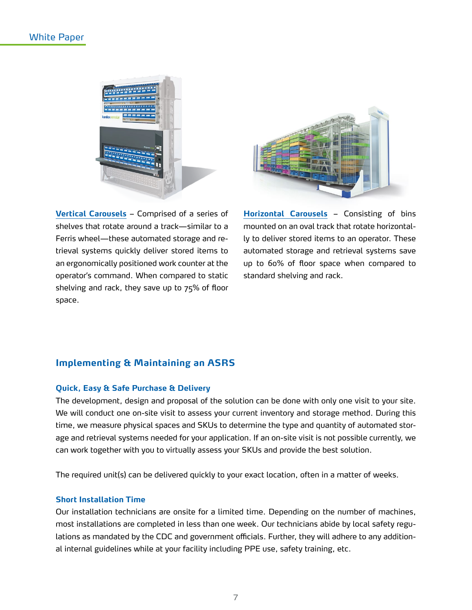### White Paper





**[Vertical Carousels](https://www.kardexremstar.com/us/materials-handling-storage-solutions/vertical-carousels-us.html)** – Comprised of a series of shelves that rotate around a track—similar to a Ferris wheel—these automated storage and retrieval systems quickly deliver stored items to an ergonomically positioned work counter at the operator's command. When compared to static shelving and rack, they save up to 75% of floor space.

**[Horizontal Carousels](https://www.kardexremstar.com/us/materials-handling-storage-solutions/horizontal-carousel-us.html)** – Consisting of bins mounted on an oval track that rotate horizontally to deliver stored items to an operator. These automated storage and retrieval systems save up to 60% of floor space when compared to standard shelving and rack.

#### **Implementing & Maintaining an ASRS**

#### **Quick, Easy & Safe Purchase & Delivery**

The development, design and proposal of the solution can be done with only one visit to your site. We will conduct one on-site visit to assess your current inventory and storage method. During this time, we measure physical spaces and SKUs to determine the type and quantity of automated storage and retrieval systems needed for your application. If an on-site visit is not possible currently, we can work together with you to virtually assess your SKUs and provide the best solution.

The required unit(s) can be delivered quickly to your exact location, often in a matter of weeks.

#### **Short Installation Time**

Our installation technicians are onsite for a limited time. Depending on the number of machines, most installations are completed in less than one week. Our technicians abide by local safety regulations as mandated by the CDC and government officials. Further, they will adhere to any additional internal guidelines while at your facility including PPE use, safety training, etc.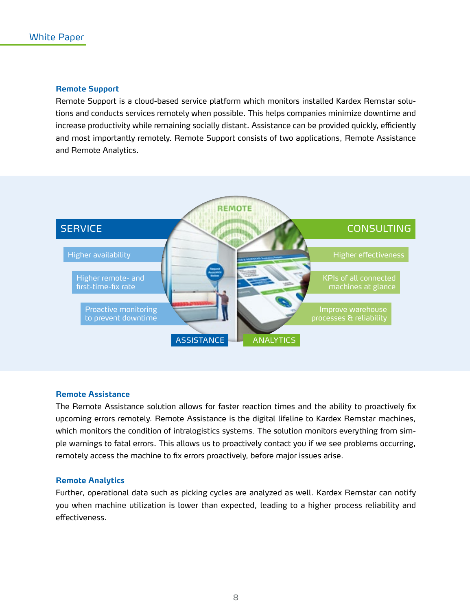#### **Remote Support**

Remote Support is a cloud-based service platform which monitors installed Kardex Remstar solutions and conducts services remotely when possible. This helps companies minimize downtime and increase productivity while remaining socially distant. Assistance can be provided quickly, efficiently and most importantly remotely. Remote Support consists of two applications, Remote Assistance and Remote Analytics.



#### **Remote Assistance**

The Remote Assistance solution allows for faster reaction times and the ability to proactively fix upcoming errors remotely. Remote Assistance is the digital lifeline to Kardex Remstar machines, which monitors the condition of intralogistics systems. The solution monitors everything from simple warnings to fatal errors. This allows us to proactively contact you if we see problems occurring, remotely access the machine to fix errors proactively, before major issues arise.

#### **Remote Analytics**

Further, operational data such as picking cycles are analyzed as well. Kardex Remstar can notify you when machine utilization is lower than expected, leading to a higher process reliability and effectiveness.